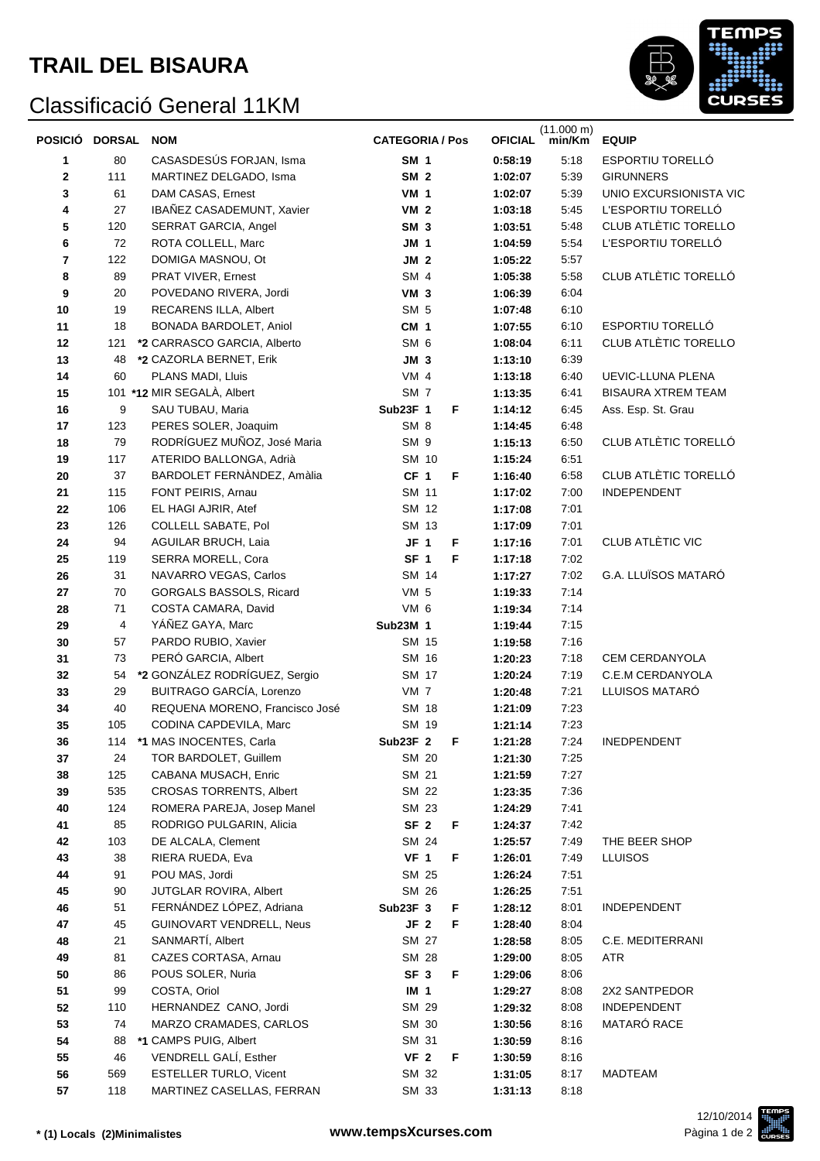## Classificació General 11KM



| POSICIÓ DORSAL |                | <b>NOM</b>                     | <b>CATEGORIA / Pos</b> |                 |   | <b>OFICIAL</b> | $(11.000 \text{ m})$<br>min/Km | <b>EQUIP</b>                |
|----------------|----------------|--------------------------------|------------------------|-----------------|---|----------------|--------------------------------|-----------------------------|
| 1              | 80             | CASASDESÚS FORJAN, Isma        | <b>SM 1</b>            |                 |   | 0:58:19        | 5:18                           | <b>ESPORTIU TORELLÓ</b>     |
| 2              | 111            | MARTINEZ DELGADO, Isma         | <b>SM 2</b>            |                 |   | 1:02:07        | 5:39                           | <b>GIRUNNERS</b>            |
| 3              | 61             | DAM CASAS, Ernest              | <b>VM 1</b>            |                 |   | 1:02:07        | 5:39                           | UNIO EXCURSIONISTA VIC      |
| 4              | 27             | IBAÑEZ CASADEMUNT, Xavier      | VM <sub>2</sub>        |                 |   | 1:03:18        | 5:45                           | L'ESPORTIU TORELLÓ          |
| 5              | 120            | SERRAT GARCIA, Angel           | SM <sub>3</sub>        |                 |   | 1:03:51        | 5:48                           | <b>CLUB ATLÈTIC TORELLO</b> |
| 6              | 72             | ROTA COLLELL, Marc             | <b>JM 1</b>            |                 |   | 1:04:59        | 5:54                           | L'ESPORTIU TORELLÓ          |
| 7              | 122            | DOMIGA MASNOU, Ot              | JM <sub>2</sub>        |                 |   | 1:05:22        | 5:57                           |                             |
| 8              | 89             | PRAT VIVER, Ernest             | SM 4                   |                 |   | 1:05:38        | 5:58                           | CLUB ATLÈTIC TORELLÓ        |
| 9              | 20             | POVEDANO RIVERA, Jordi         | VM <sub>3</sub>        |                 |   | 1:06:39        | 6:04                           |                             |
| 10             | 19             | RECARENS ILLA, Albert          | SM <sub>5</sub>        |                 |   | 1:07:48        | 6:10                           |                             |
| 11             | 18             | BONADA BARDOLET, Aniol         | CM <sub>1</sub>        |                 |   | 1:07:55        | 6:10                           | ESPORTIU TORELLÓ            |
| 12             | 121            | *2 CARRASCO GARCIA, Alberto    | SM <sub>6</sub>        |                 |   | 1:08:04        | 6:11                           | CLUB ATLÈTIC TORELLO        |
| 13             | 48             | *2 CAZORLA BERNET, Erik        | $JM$ 3                 |                 |   | 1:13:10        | 6:39                           |                             |
| 14             | 60             | PLANS MADI, Lluis              | $VM$ 4                 |                 |   | 1:13:18        | 6:40                           | UEVIC-LLUNA PLENA           |
| 15             |                | 101 *12 MIR SEGALÀ, Albert     | SM <sub>7</sub>        |                 |   | 1:13:35        | 6:41                           | <b>BISAURA XTREM TEAM</b>   |
| 16             | 9              | SAU TUBAU, Maria               | Sub23F 1               |                 | F | 1:14:12        | 6:45                           | Ass. Esp. St. Grau          |
| 17             | 123            | PERES SOLER, Joaquim           | SM <sub>8</sub>        |                 |   | 1:14:45        | 6:48                           |                             |
| 18             | 79             | RODRÍGUEZ MUÑOZ, José Maria    | SM <sub>9</sub>        |                 |   | 1:15:13        | 6:50                           | CLUB ATLÈTIC TORELLÓ        |
| 19             | 117            | ATERIDO BALLONGA, Adrià        |                        | SM 10           |   | 1:15:24        | 6:51                           |                             |
| 20             | 37             | BARDOLET FERNÀNDEZ, Amàlia     | CF <sub>1</sub>        |                 | F | 1:16:40        | 6:58                           | CLUB ATLÈTIC TORELLÓ        |
| 21             | 115            | FONT PEIRIS, Arnau             |                        | SM 11           |   | 1:17:02        | 7:00                           | <b>INDEPENDENT</b>          |
| 22             | 106            | EL HAGI AJRIR, Atef            |                        | SM 12           |   | 1:17:08        | 7:01                           |                             |
| 23             | 126            | COLLELL SABATE, Pol            |                        | SM 13           |   | 1:17:09        | 7:01                           |                             |
| 24             | 94             | AGUILAR BRUCH, Laia            | $JF$ 1                 |                 | F | 1:17:16        | 7:01                           | CLUB ATLÈTIC VIC            |
| 25             | 119            | SERRA MORELL, Cora             | SF <sub>1</sub>        |                 | F | 1:17:18        | 7:02                           |                             |
| 26             | 31             | NAVARRO VEGAS, Carlos          |                        | SM 14           |   | 1:17:27        | 7:02                           | G.A. LLUÏSOS MATARÓ         |
| 27             | 70             | GORGALS BASSOLS, Ricard        | VM <sub>5</sub>        |                 |   | 1:19:33        | 7:14                           |                             |
| 28             | 71             | COSTA CAMARA, David            | VM 6                   |                 |   | 1:19:34        | 7:14                           |                             |
| 29             | $\overline{4}$ | YÁÑEZ GAYA, Marc               | Sub23M 1               |                 |   | 1:19:44        | 7:15                           |                             |
| 30             | 57             | PARDO RUBIO, Xavier            |                        | SM 15           |   | 1:19:58        | 7:16                           |                             |
| 31             | 73             | PERÓ GARCIA, Albert            |                        | SM 16           |   | 1:20:23        | 7:18                           | <b>CEM CERDANYOLA</b>       |
| 32             | 54             | *2 GONZÁLEZ RODRÍGUEZ, Sergio  |                        | SM 17           |   | 1:20:24        | 7:19                           | C.E.M CERDANYOLA            |
| 33             | 29             | BUITRAGO GARCÍA, Lorenzo       | VM <sub>7</sub>        |                 |   | 1:20:48        | 7:21                           | LLUISOS MATARÓ              |
| 34             | 40             | REQUENA MORENO, Francisco José |                        | SM 18           |   | 1:21:09        | 7:23                           |                             |
| 35             | 105            | CODINA CAPDEVILA, Marc         |                        | SM 19           |   | 1:21:14        | 7:23                           |                             |
| 36             | 114            | *1 MAS INOCENTES, Carla        | Sub23F 2               |                 | F | 1:21:28        | 7:24                           | INEDPENDENT                 |
| 37             | 24             | TOR BARDOLET, Guillem          |                        | SM 20           |   | 1:21:30        | 7:25                           |                             |
| 38             | 125            | CABANA MUSACH, Enric           |                        | SM 21           |   | 1:21:59        | 7:27                           |                             |
| 39             | 535            | <b>CROSAS TORRENTS, Albert</b> |                        | SM 22           |   | 1:23:35        | 7:36                           |                             |
| 40             | 124            | ROMERA PAREJA, Josep Manel     |                        | SM 23           |   | 1:24:29        | 7:41                           |                             |
| 41             | 85             | RODRIGO PULGARIN, Alicia       | SF <sub>2</sub>        |                 | F | 1:24:37        | 7:42                           |                             |
| 42             | 103            | DE ALCALA, Clement             |                        | SM 24           |   | 1:25:57        | 7:49                           | THE BEER SHOP               |
| 43             | 38             | RIERA RUEDA, Eva               | VF <sub>1</sub>        |                 | F | 1:26:01        | 7:49                           | <b>LLUISOS</b>              |
| 44             | 91             | POU MAS, Jordi                 |                        | SM 25           |   | 1:26:24        | 7:51                           |                             |
| 45             | 90             | JUTGLAR ROVIRA, Albert         |                        | SM 26           |   | 1:26:25        | 7:51                           |                             |
| 46             | 51             | FERNÁNDEZ LÓPEZ, Adriana       | Sub23F 3               |                 | F | 1:28:12        | 8:01                           | INDEPENDENT                 |
| 47             | 45             | GUINOVART VENDRELL, Neus       |                        | JF <sub>2</sub> | F | 1:28:40        | 8:04                           |                             |
| 48             | 21             | SANMARTÍ, Albert               |                        | SM 27           |   | 1:28:58        | 8:05                           | C.E. MEDITERRANI            |
| 49             | 81             | CAZES CORTASA, Arnau           |                        | SM 28           |   | 1:29:00        | 8:05                           | ATR                         |
| 50             | 86             | POUS SOLER, Nuria              | SF <sub>3</sub>        |                 | F | 1:29:06        | 8:06                           |                             |
| 51             | 99             | COSTA, Oriol                   | IM <sub>1</sub>        |                 |   | 1:29:27        | 8:08                           | 2X2 SANTPEDOR               |
| 52             | 110            | HERNANDEZ CANO, Jordi          |                        | SM 29           |   | 1:29:32        | 8:08                           | INDEPENDENT                 |
| 53             | 74             | MARZO CRAMADES, CARLOS         |                        | SM 30           |   | 1:30:56        | 8:16                           | MATARÓ RACE                 |
| 54             | 88             | *1 CAMPS PUIG, Albert          |                        | SM 31           |   | 1:30:59        | 8:16                           |                             |
| 55             | 46             | VENDRELL GALÍ, Esther          | VF <sub>2</sub>        |                 | F | 1:30:59        | 8:16                           |                             |
| 56             | 569            | ESTELLER TURLO, Vicent         |                        | SM 32           |   | 1:31:05        | 8:17                           | MADTEAM                     |
| 57             | 118            | MARTINEZ CASELLAS, FERRAN      |                        | SM 33           |   | 1:31:13        | 8:18                           |                             |
|                |                |                                |                        |                 |   |                |                                |                             |